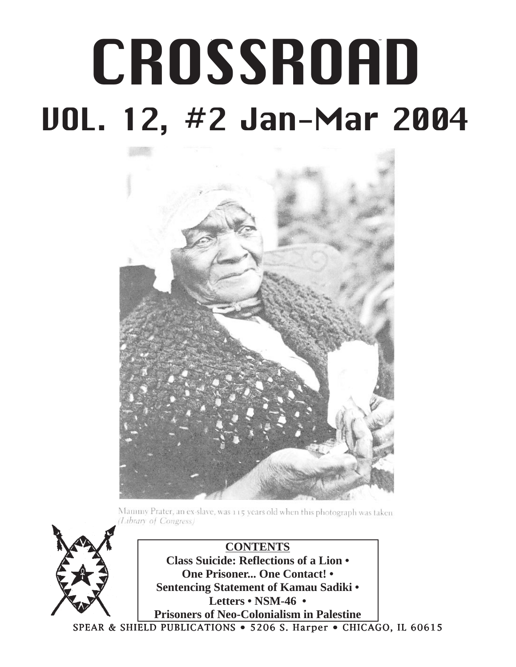# CROSSROAD /SSP, VOL. 12, #2 - 1 - Jan - Mar 2004 **CROSSROAD** VOL. 12, #2 Jan-Mar 2004



Mammy Prater, an ex-slave, was 115 years old when this photograph was taken. Library of Congress)

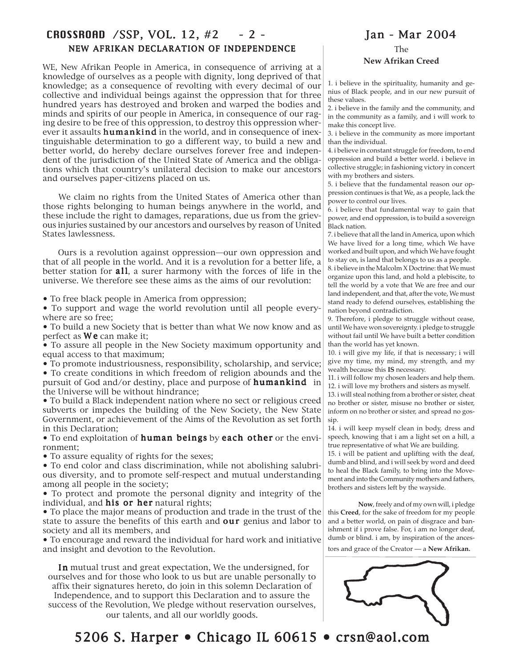#### CROSSROAD /SSP, VOL. 12, #2 - 2 - Jan - Mar 2004 NEW AFRIKAN DECLARATION OF INDEPENDENCE

WE, New Afrikan People in America, in consequence of arriving at a knowledge of ourselves as a people with dignity, long deprived of that knowledge; as a consequence of revolting with every decimal of our collective and individual beings against the oppression that for three hundred years has destroyed and broken and warped the bodies and minds and spirits of our people in America, in consequence of our raging desire to be free of this oppression, to destroy this oppression wherever it assaults **humankind** in the world, and in consequence of inextinguishable determination to go a different way, to build a new and better world, do hereby declare ourselves forever free and independent of the jurisdiction of the United State of America and the obligations which that country's unilateral decision to make our ancestors and ourselves paper-citizens placed on us.

 We claim no rights from the United States of America other than those rights belonging to human beings anywhere in the world, and these include the right to damages, reparations, due us from the grievous injuries sustained by our ancestors and ourselves by reason of United States lawlessness.

 Ours is a revolution against oppression—our own oppression and that of all people in the world. And it is a revolution for a better life, a better station for **all**, a surer harmony with the forces of life in the universe. We therefore see these aims as the aims of our revolution:

• To free black people in America from oppression;

• To support and wage the world revolution until all people everywhere are so free;

• To build a new Society that is better than what We now know and as perfect as  $W$  e can make it;

• To assure all people in the New Society maximum opportunity and equal access to that maximum;

• To promote industriousness, responsibility, scholarship, and service; • To create conditions in which freedom of religion abounds and the pursuit of God and/or destiny, place and purpose of **humankind** in the Universe will be without hindrance;

• To build a Black independent nation where no sect or religious creed subverts or impedes the building of the New Society, the New State Government, or achievement of the Aims of the Revolution as set forth in this Declaration;

• To end exploitation of human beings by each other or the environment;

• To assure equality of rights for the sexes;

• To end color and class discrimination, while not abolishing salubrious diversity, and to promote self-respect and mutual understanding among all people in the society;

• To protect and promote the personal dignity and integrity of the individual, and his or her natural rights;

• To place the major means of production and trade in the trust of the state to assure the benefits of this earth and **our** genius and labor to society and all its members, and

• To encourage and reward the individual for hard work and initiative and insight and devotion to the Revolution.

In mutual trust and great expectation, We the undersigned, for ourselves and for those who look to us but are unable personally to affix their signatures hereto, do join in this solemn Declaration of Independence, and to support this Declaration and to assure the success of the Revolution, We pledge without reservation ourselves, our talents, and all our worldly goods.

The **New Afrikan Creed**

1. i believe in the spirituality, humanity and genius of Black people, and in our new pursuit of these values.

2. i believe in the family and the community, and in the community as a family, and i will work to make this concept live.

3. i believe in the community as more important than the individual.

4. i believe in constant struggle for freedom, to end oppression and build a better world. i believe in collective struggle; in fashioning victory in concert with my brothers and sisters.

5. i believe that the fundamental reason our oppression continues is that We, as a people, lack the power to control our lives.

6. i believe that fundamental way to gain that power, and end oppression, is to build a sovereign Black nation.

7. i believe that all the land in America, upon which We have lived for a long time, which We have worked and built upon, and which We have fought to stay on, is land that belongs to us as a people.

8. i believe in the Malcolm X Doctrine: that We must organize upon this land, and hold a plebiscite, to tell the world by a vote that We are free and our land independent, and that, after the vote, We must stand ready to defend ourselves, establishing the nation beyond contradiction.

9. Therefore, i pledge to struggle without cease, until We have won sovereignty. i pledge to struggle without fail until We have built a better condition than the world has yet known.

10. i will give my life, if that is necessary; i will give my time, my mind, my strength, and my wealth because this **IS** necessary.

11. i will follow my chosen leaders and help them. 12. i will love my brothers and sisters as myself.

13. i will steal nothing from a brother or sister, cheat no brother or sister, misuse no brother or sister, inform on no brother or sister, and spread no gossip.

14. i will keep myself clean in body, dress and speech, knowing that i am a light set on a hill, a true representative of what We are building.

15. i will be patient and uplifting with the deaf, dumb and blind, and i will seek by word and deed to heal the Black family, to bring into the Movement and into the Community mothers and fathers, brothers and sisters left by the wayside.

**Now**, freely and of my own will, i pledge this **Creed**, for the sake of freedom for my people and a better world, on pain of disgrace and banishment if i prove false. For, i am no longer deaf, dumb or blind. i am, by inspiration of the ancestors and grace of the Creator — a **New Afrikan.**

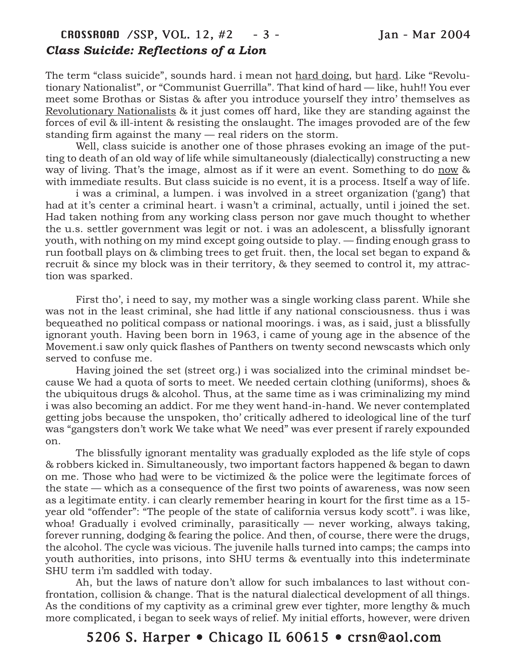## CROSSROAD /SSP, VOL. 12, #2 - 3 - Jan - Mar 2004 *Class Suicide: Reflections of a Lion*

The term "class suicide", sounds hard. i mean not hard doing, but hard. Like "Revolutionary Nationalist", or "Communist Guerrilla". That kind of hard — like, huh!! You ever meet some Brothas or Sistas & after you introduce yourself they intro' themselves as Revolutionary Nationalists & it just comes off hard, like they are standing against the forces of evil & ill-intent & resisting the onslaught. The images provoded are of the few standing firm against the many — real riders on the storm.

Well, class suicide is another one of those phrases evoking an image of the putting to death of an old way of life while simultaneously (dialectically) constructing a new way of living. That's the image, almost as if it were an event. Something to do now & with immediate results. But class suicide is no event, it is a process. Itself a way of life.

i was a criminal, a lumpen. i was involved in a street organization ('gang') that had at it's center a criminal heart. i wasn't a criminal, actually, until i joined the set. Had taken nothing from any working class person nor gave much thought to whether the u.s. settler government was legit or not. i was an adolescent, a blissfully ignorant youth, with nothing on my mind except going outside to play. — finding enough grass to run football plays on & climbing trees to get fruit. then, the local set began to expand & recruit & since my block was in their territory, & they seemed to control it, my attraction was sparked.

First tho', i need to say, my mother was a single working class parent. While she was not in the least criminal, she had little if any national consciousness. thus i was bequeathed no political compass or national moorings. i was, as i said, just a blissfully ignorant youth. Having been born in 1963, i came of young age in the absence of the Movement.i saw only quick flashes of Panthers on twenty second newscasts which only served to confuse me.

Having joined the set (street org.) i was socialized into the criminal mindset because We had a quota of sorts to meet. We needed certain clothing (uniforms), shoes & the ubiquitous drugs & alcohol. Thus, at the same time as i was criminalizing my mind i was also becoming an addict. For me they went hand-in-hand. We never contemplated getting jobs because the unspoken, tho' critically adhered to ideological line of the turf was "gangsters don't work We take what We need" was ever present if rarely expounded on.

The blissfully ignorant mentality was gradually exploded as the life style of cops & robbers kicked in. Simultaneously, two important factors happened & began to dawn on me. Those who had were to be victimized & the police were the legitimate forces of the state — which as a consequence of the first two points of awareness, was now seen as a legitimate entity. i can clearly remember hearing in kourt for the first time as a 15 year old "offender": "The people of the state of california versus kody scott". i was like, whoa! Gradually i evolved criminally, parasitically — never working, always taking, forever running, dodging & fearing the police. And then, of course, there were the drugs, the alcohol. The cycle was vicious. The juvenile halls turned into camps; the camps into youth authorities, into prisons, into SHU terms & eventually into this indeterminate SHU term i'm saddled with today.

Ah, but the laws of nature don't allow for such imbalances to last without confrontation, collision & change. That is the natural dialectical development of all things. As the conditions of my captivity as a criminal grew ever tighter, more lengthy & much more complicated, i began to seek ways of relief. My initial efforts, however, were driven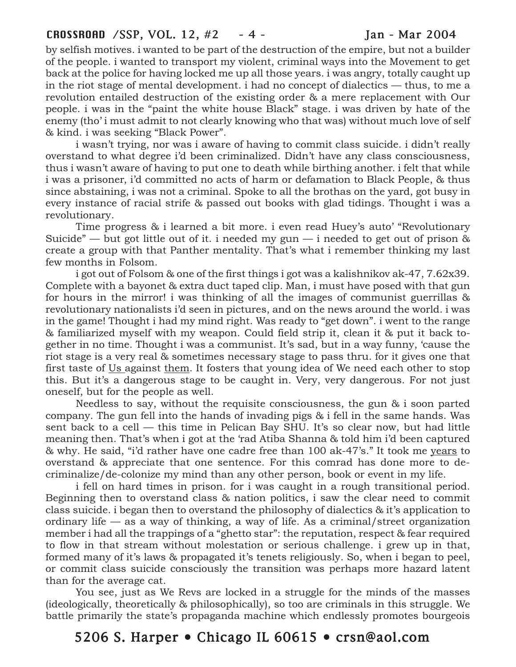#### CROSSROAD /SSP, VOL. 12, #2 - 4 - Jan - Mar 2004

by selfish motives. i wanted to be part of the destruction of the empire, but not a builder of the people. i wanted to transport my violent, criminal ways into the Movement to get back at the police for having locked me up all those years. i was angry, totally caught up in the riot stage of mental development. i had no concept of dialectics — thus, to me a revolution entailed destruction of the existing order & a mere replacement with Our people. i was in the "paint the white house Black" stage. i was driven by hate of the enemy (tho' i must admit to not clearly knowing who that was) without much love of self & kind. i was seeking "Black Power".

i wasn't trying, nor was i aware of having to commit class suicide. i didn't really overstand to what degree i'd been criminalized. Didn't have any class consciousness, thus i wasn't aware of having to put one to death while birthing another. i felt that while i was a prisoner, i'd committed no acts of harm or defamation to Black People, & thus since abstaining, i was not a criminal. Spoke to all the brothas on the yard, got busy in every instance of racial strife & passed out books with glad tidings. Thought i was a revolutionary.

Time progress & i learned a bit more. i even read Huey's auto' "Revolutionary Suicide" — but got little out of it. i needed my gun — i needed to get out of prison  $\&$ create a group with that Panther mentality. That's what i remember thinking my last few months in Folsom.

i got out of Folsom & one of the first things i got was a kalishnikov ak-47, 7.62x39. Complete with a bayonet & extra duct taped clip. Man, i must have posed with that gun for hours in the mirror! i was thinking of all the images of communist guerrillas & revolutionary nationalists i'd seen in pictures, and on the news around the world. i was in the game! Thought i had my mind right. Was ready to "get down". i went to the range & familiarized myself with my weapon. Could field strip it, clean it & put it back together in no time. Thought i was a communist. It's sad, but in a way funny, 'cause the riot stage is a very real & sometimes necessary stage to pass thru. for it gives one that first taste of Us against them. It fosters that young idea of We need each other to stop this. But it's a dangerous stage to be caught in. Very, very dangerous. For not just oneself, but for the people as well.

Needless to say, without the requisite consciousness, the gun & i soon parted company. The gun fell into the hands of invading pigs & i fell in the same hands. Was sent back to a cell — this time in Pelican Bay SHU. It's so clear now, but had little meaning then. That's when i got at the 'rad Atiba Shanna & told him i'd been captured & why. He said, "i'd rather have one cadre free than 100 ak-47's." It took me years to overstand & appreciate that one sentence. For this comrad has done more to decriminalize/de-colonize my mind than any other person, book or event in my life.

i fell on hard times in prison. for i was caught in a rough transitional period. Beginning then to overstand class & nation politics, i saw the clear need to commit class suicide. i began then to overstand the philosophy of dialectics & it's application to ordinary life — as a way of thinking, a way of life. As a criminal/street organization member i had all the trappings of a "ghetto star": the reputation, respect & fear required to flow in that stream without molestation or serious challenge. i grew up in that, formed many of it's laws & propagated it's tenets religiously. So, when i began to peel, or commit class suicide consciously the transition was perhaps more hazard latent than for the average cat.

You see, just as We Revs are locked in a struggle for the minds of the masses (ideologically, theoretically & philosophically), so too are criminals in this struggle. We battle primarily the state's propaganda machine which endlessly promotes bourgeois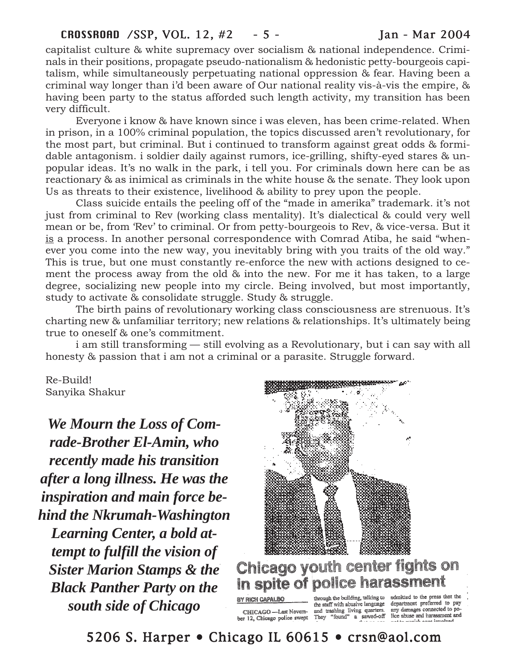capitalist culture & white supremacy over socialism & national independence. Criminals in their positions, propagate pseudo-nationalism & hedonistic petty-bourgeois capitalism, while simultaneously perpetuating national oppression & fear. Having been a criminal way longer than i'd been aware of Our national reality vis-à-vis the empire, & having been party to the status afforded such length activity, my transition has been very difficult.

Everyone i know & have known since i was eleven, has been crime-related. When in prison, in a 100% criminal population, the topics discussed aren't revolutionary, for the most part, but criminal. But i continued to transform against great odds & formidable antagonism. i soldier daily against rumors, ice-grilling, shifty-eyed stares & unpopular ideas. It's no walk in the park, i tell you. For criminals down here can be as reactionary & as inimical as criminals in the white house & the senate. They look upon Us as threats to their existence, livelihood & ability to prey upon the people.

Class suicide entails the peeling off of the "made in amerika" trademark. it's not just from criminal to Rev (working class mentality). It's dialectical & could very well mean or be, from 'Rev' to criminal. Or from petty-bourgeois to Rev, & vice-versa. But it is a process. In another personal correspondence with Comrad Atiba, he said "whenever you come into the new way, you inevitably bring with you traits of the old way." This is true, but one must constantly re-enforce the new with actions designed to cement the process away from the old & into the new. For me it has taken, to a large degree, socializing new people into my circle. Being involved, but most importantly, study to activate & consolidate struggle. Study & struggle.

The birth pains of revolutionary working class consciousness are strenuous. It's charting new & unfamiliar territory; new relations & relationships. It's ultimately being true to oneself & one's commitment.

i am still transforming — still evolving as a Revolutionary, but i can say with all honesty & passion that i am not a criminal or a parasite. Struggle forward.

Re-Build! Sanyika Shakur

*We Mourn the Loss of Comrade-Brother El-Amin, who recently made his transition after a long illness. He was the inspiration and main force behind the Nkrumah-Washington Learning Center, a bold attempt to fulfill the vision of Sister Marion Stamps & the Black Panther Party on the south side of Chicago*



# Chicago youth center fights on in spite of police harassment

BY RICH CAPALBO

through the building, talking to admitted to the press that the<br>the staff with abusive language department preferred to pay<br>and trashing living quarters. any damages connected to po-CHICAGO - Last Novem and trashing living quarters.<br>ber 12, Chicago police swept They "found" a sawed-off a sawed-off

lice abuse and harassment and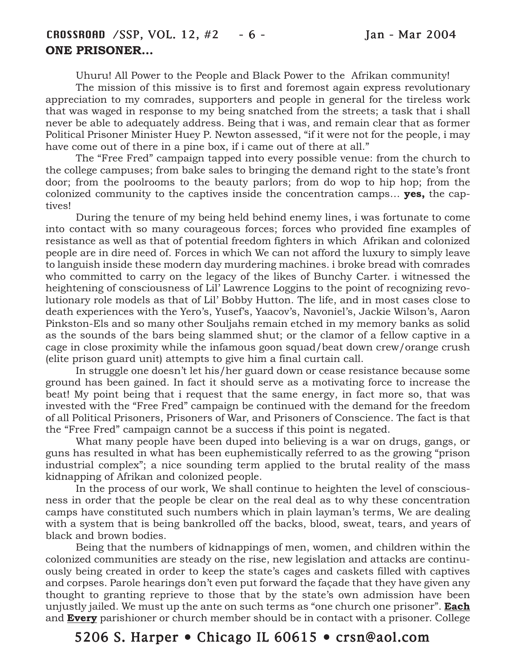Uhuru! All Power to the People and Black Power to the Afrikan community!

The mission of this missive is to first and foremost again express revolutionary appreciation to my comrades, supporters and people in general for the tireless work that was waged in response to my being snatched from the streets; a task that i shall never be able to adequately address. Being that i was, and remain clear that as former Political Prisoner Minister Huey P. Newton assessed, "if it were not for the people, i may have come out of there in a pine box, if i came out of there at all."

The "Free Fred" campaign tapped into every possible venue: from the church to the college campuses; from bake sales to bringing the demand right to the state's front door; from the poolrooms to the beauty parlors; from do wop to hip hop; from the colonized community to the captives inside the concentration camps… **yes,** the captives!

During the tenure of my being held behind enemy lines, i was fortunate to come into contact with so many courageous forces; forces who provided fine examples of resistance as well as that of potential freedom fighters in which Afrikan and colonized people are in dire need of. Forces in which We can not afford the luxury to simply leave to languish inside these modern day murdering machines. i broke bread with comrades who committed to carry on the legacy of the likes of Bunchy Carter. i witnessed the heightening of consciousness of Lil' Lawrence Loggins to the point of recognizing revolutionary role models as that of Lil' Bobby Hutton. The life, and in most cases close to death experiences with the Yero's, Yusef's, Yaacov's, Navoniel's, Jackie Wilson's, Aaron Pinkston-Els and so many other Souljahs remain etched in my memory banks as solid as the sounds of the bars being slammed shut; or the clamor of a fellow captive in a cage in close proximity while the infamous goon squad/beat down crew/orange crush (elite prison guard unit) attempts to give him a final curtain call.

In struggle one doesn't let his/her guard down or cease resistance because some ground has been gained. In fact it should serve as a motivating force to increase the beat! My point being that i request that the same energy, in fact more so, that was invested with the "Free Fred" campaign be continued with the demand for the freedom of all Political Prisoners, Prisoners of War, and Prisoners of Conscience. The fact is that the "Free Fred" campaign cannot be a success if this point is negated.

What many people have been duped into believing is a war on drugs, gangs, or guns has resulted in what has been euphemistically referred to as the growing "prison industrial complex"; a nice sounding term applied to the brutal reality of the mass kidnapping of Afrikan and colonized people.

In the process of our work, We shall continue to heighten the level of consciousness in order that the people be clear on the real deal as to why these concentration camps have constituted such numbers which in plain layman's terms, We are dealing with a system that is being bankrolled off the backs, blood, sweat, tears, and years of black and brown bodies.

Being that the numbers of kidnappings of men, women, and children within the colonized communities are steady on the rise, new legislation and attacks are continuously being created in order to keep the state's cages and caskets filled with captives and corpses. Parole hearings don't even put forward the façade that they have given any thought to granting reprieve to those that by the state's own admission have been unjustly jailed. We must up the ante on such terms as "one church one prisoner". **Each** and **Every** parishioner or church member should be in contact with a prisoner. College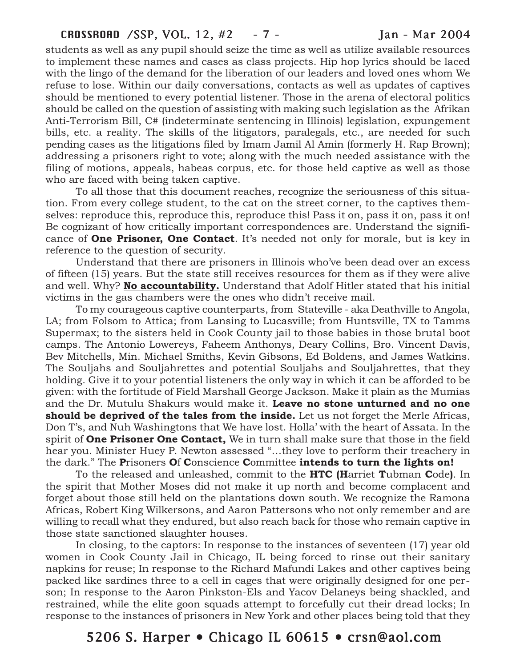students as well as any pupil should seize the time as well as utilize available resources to implement these names and cases as class projects. Hip hop lyrics should be laced with the lingo of the demand for the liberation of our leaders and loved ones whom We refuse to lose. Within our daily conversations, contacts as well as updates of captives should be mentioned to every potential listener. Those in the arena of electoral politics should be called on the question of assisting with making such legislation as the Afrikan Anti-Terrorism Bill, C# (indeterminate sentencing in Illinois) legislation, expungement bills, etc. a reality. The skills of the litigators, paralegals, etc., are needed for such pending cases as the litigations filed by Imam Jamil Al Amin (formerly H. Rap Brown); addressing a prisoners right to vote; along with the much needed assistance with the filing of motions, appeals, habeas corpus, etc. for those held captive as well as those who are faced with being taken captive.

To all those that this document reaches, recognize the seriousness of this situation. From every college student, to the cat on the street corner, to the captives themselves: reproduce this, reproduce this, reproduce this! Pass it on, pass it on, pass it on! Be cognizant of how critically important correspondences are. Understand the significance of **One Prisoner, One Contact**. It's needed not only for morale, but is key in reference to the question of security.

Understand that there are prisoners in Illinois who've been dead over an excess of fifteen (15) years. But the state still receives resources for them as if they were alive and well. Why? **No accountability.** Understand that Adolf Hitler stated that his initial victims in the gas chambers were the ones who didn't receive mail.

To my courageous captive counterparts, from Stateville - aka Deathville to Angola, LA; from Folsom to Attica; from Lansing to Lucasville; from Huntsville, TX to Tamms Supermax; to the sisters held in Cook County jail to those babies in those brutal boot camps. The Antonio Lowereys, Faheem Anthonys, Deary Collins, Bro. Vincent Davis, Bev Mitchells, Min. Michael Smiths, Kevin Gibsons, Ed Boldens, and James Watkins. The Souljahs and Souljahrettes and potential Souljahs and Souljahrettes, that they holding. Give it to your potential listeners the only way in which it can be afforded to be given: with the fortitude of Field Marshall George Jackson. Make it plain as the Mumias and the Dr. Mutulu Shakurs would make it. **Leave no stone unturned and no one should be deprived of the tales from the inside.** Let us not forget the Merle Africas, Don T's, and Nuh Washingtons that We have lost. Holla' with the heart of Assata. In the spirit of **One Prisoner One Contact,** We in turn shall make sure that those in the field hear you. Minister Huey P. Newton assessed "…they love to perform their treachery in the dark." The **P**risoners **O**f **C**onscience **C**ommittee **intends to turn the lights on!**

To the released and unleashed, commit to the **HTC (H**arriet **T**ubman **C**ode**)**. In the spirit that Mother Moses did not make it up north and become complacent and forget about those still held on the plantations down south. We recognize the Ramona Africas, Robert King Wilkersons, and Aaron Pattersons who not only remember and are willing to recall what they endured, but also reach back for those who remain captive in those state sanctioned slaughter houses.

In closing, to the captors: In response to the instances of seventeen (17) year old women in Cook County Jail in Chicago, IL being forced to rinse out their sanitary napkins for reuse; In response to the Richard Mafundi Lakes and other captives being packed like sardines three to a cell in cages that were originally designed for one person; In response to the Aaron Pinkston-Els and Yacov Delaneys being shackled, and restrained, while the elite goon squads attempt to forcefully cut their dread locks; In response to the instances of prisoners in New York and other places being told that they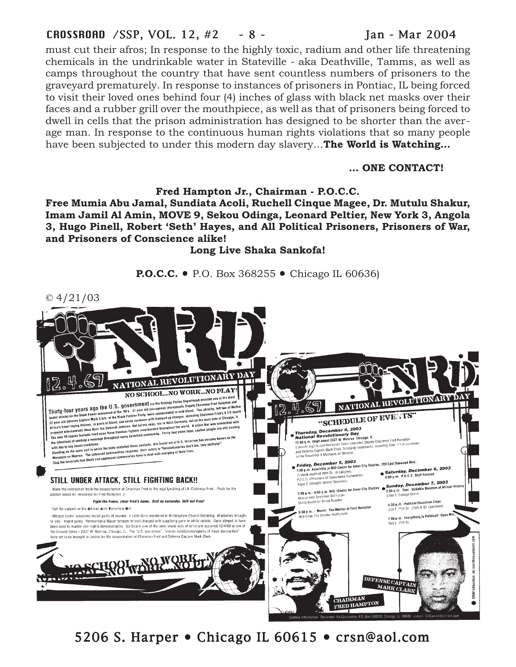#### CROSSROAD /SSP, VOL. 12, #2 - 8 - Jan - Mar 2004

must cut their afros; In response to the highly toxic, radium and other life threatening chemicals in the undrinkable water in Stateville - aka Deathville, Tamms, as well as camps throughout the country that have sent countless numbers of prisoners to the graveyard prematurely. In response to instances of prisoners in Pontiac, IL being forced to visit their loved ones behind four (4) inches of glass with black net masks over their faces and a rubber grill over the mouthpiece, as well as that of prisoners being forced to dwell in cells that the prison administration has designed to be shorter than the average man. In response to the continuous human rights violations that so many people have been subjected to under this modern day slavery…**The World is Watching…**

#### **… ONE CONTACT!**

#### **Fred Hampton Jr., Chairman - P.O.C.C.**

**Free Mumia Abu Jamal, Sundiata Acoli, Ruchell Cinque Magee, Dr. Mutulu Shakur, Imam Jamil Al Amin, MOVE 9, Sekou Odinga, Leonard Peltier, New York 3, Angola 3, Hugo Pinell, Robert 'Seth' Hayes, and All Political Prisoners, Prisoners of War, and Prisoners of Conscience alike!**

**Long Live Shaka Sankofa!**

**P.O.C.C. •** P.O. Box 368255 • Chicago IL 60636)

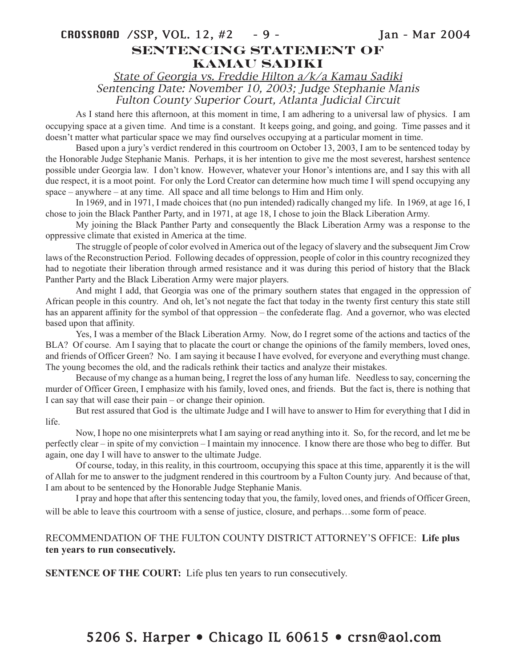State of Georgia vs. Freddie Hilton a/k/a Kamau Sadiki Sentencing Date: November 10, 2003; Judge Stephanie Manis Fulton County Superior Court, Atlanta Judicial Circuit

As I stand here this afternoon, at this moment in time, I am adhering to a universal law of physics. I am occupying space at a given time. And time is a constant. It keeps going, and going, and going. Time passes and it doesn't matter what particular space we may find ourselves occupying at a particular moment in time.

Based upon a jury's verdict rendered in this courtroom on October 13, 2003, I am to be sentenced today by the Honorable Judge Stephanie Manis. Perhaps, it is her intention to give me the most severest, harshest sentence possible under Georgia law. I don't know. However, whatever your Honor's intentions are, and I say this with all due respect, it is a moot point. For only the Lord Creator can determine how much time I will spend occupying any space – anywhere – at any time. All space and all time belongs to Him and Him only.

In 1969, and in 1971, I made choices that (no pun intended) radically changed my life. In 1969, at age 16, I chose to join the Black Panther Party, and in 1971, at age 18, I chose to join the Black Liberation Army.

My joining the Black Panther Party and consequently the Black Liberation Army was a response to the oppressive climate that existed in America at the time.

The struggle of people of color evolved in America out of the legacy of slavery and the subsequent Jim Crow laws of the Reconstruction Period. Following decades of oppression, people of color in this country recognized they had to negotiate their liberation through armed resistance and it was during this period of history that the Black Panther Party and the Black Liberation Army were major players.

And might I add, that Georgia was one of the primary southern states that engaged in the oppression of African people in this country. And oh, let's not negate the fact that today in the twenty first century this state still has an apparent affinity for the symbol of that oppression – the confederate flag. And a governor, who was elected based upon that affinity.

Yes, I was a member of the Black Liberation Army. Now, do I regret some of the actions and tactics of the BLA? Of course. Am I saying that to placate the court or change the opinions of the family members, loved ones, and friends of Officer Green? No. I am saying it because I have evolved, for everyone and everything must change. The young becomes the old, and the radicals rethink their tactics and analyze their mistakes.

Because of my change as a human being, I regret the loss of any human life. Needless to say, concerning the murder of Officer Green, I emphasize with his family, loved ones, and friends. But the fact is, there is nothing that I can say that will ease their pain – or change their opinion.

But rest assured that God is the ultimate Judge and I will have to answer to Him for everything that I did in life.

Now, I hope no one misinterprets what I am saying or read anything into it. So, for the record, and let me be perfectly clear – in spite of my conviction – I maintain my innocence. I know there are those who beg to differ. But again, one day I will have to answer to the ultimate Judge.

Of course, today, in this reality, in this courtroom, occupying this space at this time, apparently it is the will of Allah for me to answer to the judgment rendered in this courtroom by a Fulton County jury. And because of that, I am about to be sentenced by the Honorable Judge Stephanie Manis.

I pray and hope that after this sentencing today that you, the family, loved ones, and friends of Officer Green, will be able to leave this courtroom with a sense of justice, closure, and perhaps...some form of peace.

#### RECOMMENDATION OF THE FULTON COUNTY DISTRICT ATTORNEY'S OFFICE: **Life plus ten years to run consecutively.**

**SENTENCE OF THE COURT:** Life plus ten years to run consecutively.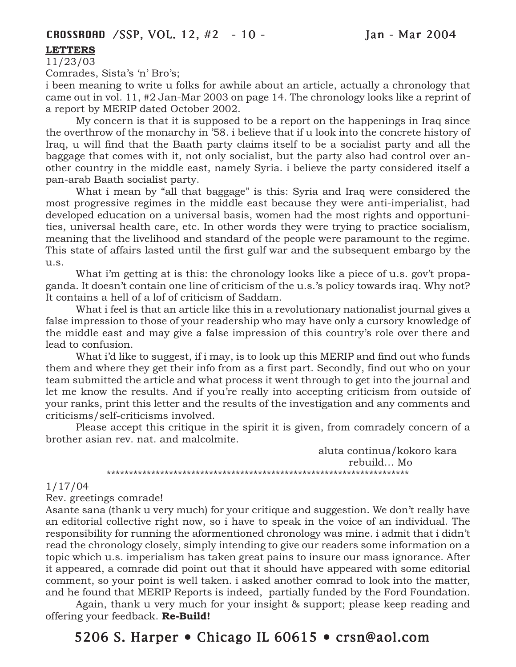#### **LETTERS**

11/23/03

Comrades, Sista's 'n' Bro's;

i been meaning to write u folks for awhile about an article, actually a chronology that came out in vol. 11, #2 Jan-Mar 2003 on page 14. The chronology looks like a reprint of a report by MERIP dated October 2002.

My concern is that it is supposed to be a report on the happenings in Iraq since the overthrow of the monarchy in '58. i believe that if u look into the concrete history of Iraq, u will find that the Baath party claims itself to be a socialist party and all the baggage that comes with it, not only socialist, but the party also had control over another country in the middle east, namely Syria. i believe the party considered itself a pan-arab Baath socialist party.

What i mean by "all that baggage" is this: Syria and Iraq were considered the most progressive regimes in the middle east because they were anti-imperialist, had developed education on a universal basis, women had the most rights and opportunities, universal health care, etc. In other words they were trying to practice socialism, meaning that the livelihood and standard of the people were paramount to the regime. This state of affairs lasted until the first gulf war and the subsequent embargo by the u.s.

What i'm getting at is this: the chronology looks like a piece of u.s. gov't propaganda. It doesn't contain one line of criticism of the u.s.'s policy towards iraq. Why not? It contains a hell of a lof of criticism of Saddam.

What i feel is that an article like this in a revolutionary nationalist journal gives a false impression to those of your readership who may have only a cursory knowledge of the middle east and may give a false impression of this country's role over there and lead to confusion.

What i'd like to suggest, if i may, is to look up this MERIP and find out who funds them and where they get their info from as a first part. Secondly, find out who on your team submitted the article and what process it went through to get into the journal and let me know the results. And if you're really into accepting criticism from outside of your ranks, print this letter and the results of the investigation and any comments and criticisms/self-criticisms involved.

Please accept this critique in the spirit it is given, from comradely concern of a brother asian rev. nat. and malcolmite.

> aluta continua/kokoro kara rebuild… Mo \*\*\*\*\*\*\*\*\*\*\*\*\*\*\*\*\*\*\*\*\*\*\*\*\*\*\*\*\*\*\*\*\*\*\*\*\*\*\*\*\*\*\*\*\*\*\*\*\*\*\*\*\*\*\*\*\*\*\*\*\*\*\*\*\*\*\*\*

#### 1/17/04

Rev. greetings comrade!

Asante sana (thank u very much) for your critique and suggestion. We don't really have an editorial collective right now, so i have to speak in the voice of an individual. The responsibility for running the aformentioned chronology was mine. i admit that i didn't read the chronology closely, simply intending to give our readers some information on a topic which u.s. imperialism has taken great pains to insure our mass ignorance. After it appeared, a comrade did point out that it should have appeared with some editorial comment, so your point is well taken. i asked another comrad to look into the matter, and he found that MERIP Reports is indeed, partially funded by the Ford Foundation.

Again, thank u very much for your insight & support; please keep reading and offering your feedback. **Re-Build!**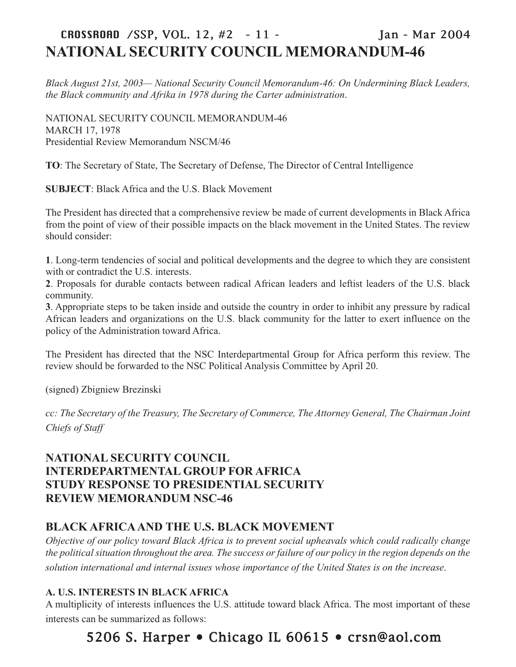# CROSSROAD /SSP, VOL. 12, #2 - 11 - Jan - Mar 2004 **NATIONAL SECURITY COUNCIL MEMORANDUM-46**

*Black August 21st, 2003— National Security Council Memorandum-46: On Undermining Black Leaders, the Black community and Afrika in 1978 during the Carter administration*.

NATIONAL SECURITY COUNCIL MEMORANDUM-46 MARCH 17, 1978 Presidential Review Memorandum NSCM/46

**TO**: The Secretary of State, The Secretary of Defense, The Director of Central Intelligence

**SUBJECT**: Black Africa and the U.S. Black Movement

The President has directed that a comprehensive review be made of current developments in Black Africa from the point of view of their possible impacts on the black movement in the United States. The review should consider:

**1**. Long-term tendencies of social and political developments and the degree to which they are consistent with or contradict the U.S. interests.

**2**. Proposals for durable contacts between radical African leaders and leftist leaders of the U.S. black community.

**3**. Appropriate steps to be taken inside and outside the country in order to inhibit any pressure by radical African leaders and organizations on the U.S. black community for the latter to exert influence on the policy of the Administration toward Africa.

The President has directed that the NSC Interdepartmental Group for Africa perform this review. The review should be forwarded to the NSC Political Analysis Committee by April 20.

(signed) Zbigniew Brezinski

*cc: The Secretary of the Treasury, The Secretary of Commerce, The Attorney General, The Chairman Joint Chiefs of Staff*

### **NATIONAL SECURITY COUNCIL INTERDEPARTMENTAL GROUP FOR AFRICA STUDY RESPONSE TO PRESIDENTIAL SECURITY REVIEW MEMORANDUM NSC-46**

#### **BLACK AFRICA AND THE U.S. BLACK MOVEMENT**

*Objective of our policy toward Black Africa is to prevent social upheavals which could radically change the political situation throughout the area. The success or failure of our policy in the region depends on the solution international and internal issues whose importance of the United States is on the increase*.

#### **A. U.S. INTERESTS IN BLACK AFRICA**

A multiplicity of interests influences the U.S. attitude toward black Africa. The most important of these interests can be summarized as follows: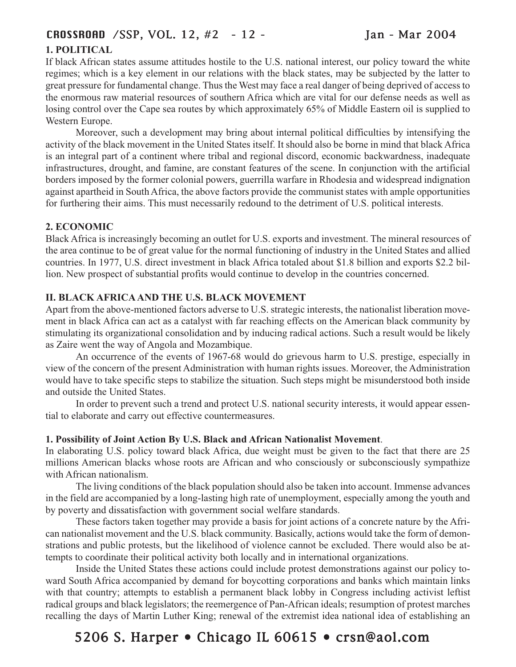### CROSSROAD /SSP, VOL. 12, #2 - 12 - Jan - Mar 2004

#### **1. POLITICAL**

If black African states assume attitudes hostile to the U.S. national interest, our policy toward the white regimes; which is a key element in our relations with the black states, may be subjected by the latter to great pressure for fundamental change. Thus the West may face a real danger of being deprived of access to the enormous raw material resources of southern Africa which are vital for our defense needs as well as losing control over the Cape sea routes by which approximately 65% of Middle Eastern oil is supplied to Western Europe.

Moreover, such a development may bring about internal political difficulties by intensifying the activity of the black movement in the United States itself. It should also be borne in mind that black Africa is an integral part of a continent where tribal and regional discord, economic backwardness, inadequate infrastructures, drought, and famine, are constant features of the scene. In conjunction with the artificial borders imposed by the former colonial powers, guerrilla warfare in Rhodesia and widespread indignation against apartheid in South Africa, the above factors provide the communist states with ample opportunities for furthering their aims. This must necessarily redound to the detriment of U.S. political interests.

#### **2. ECONOMIC**

Black Africa is increasingly becoming an outlet for U.S. exports and investment. The mineral resources of the area continue to be of great value for the normal functioning of industry in the United States and allied countries. In 1977, U.S. direct investment in black Africa totaled about \$1.8 billion and exports \$2.2 billion. New prospect of substantial profits would continue to develop in the countries concerned.

#### **II. BLACK AFRICA AND THE U.S. BLACK MOVEMENT**

Apart from the above-mentioned factors adverse to U.S. strategic interests, the nationalist liberation movement in black Africa can act as a catalyst with far reaching effects on the American black community by stimulating its organizational consolidation and by inducing radical actions. Such a result would be likely as Zaire went the way of Angola and Mozambique.

An occurrence of the events of 1967-68 would do grievous harm to U.S. prestige, especially in view of the concern of the present Administration with human rights issues. Moreover, the Administration would have to take specific steps to stabilize the situation. Such steps might be misunderstood both inside and outside the United States.

In order to prevent such a trend and protect U.S. national security interests, it would appear essential to elaborate and carry out effective countermeasures.

#### **1. Possibility of Joint Action By U.S. Black and African Nationalist Movement**.

In elaborating U.S. policy toward black Africa, due weight must be given to the fact that there are 25 millions American blacks whose roots are African and who consciously or subconsciously sympathize with African nationalism.

The living conditions of the black population should also be taken into account. Immense advances in the field are accompanied by a long-lasting high rate of unemployment, especially among the youth and by poverty and dissatisfaction with government social welfare standards.

These factors taken together may provide a basis for joint actions of a concrete nature by the African nationalist movement and the U.S. black community. Basically, actions would take the form of demonstrations and public protests, but the likelihood of violence cannot be excluded. There would also be attempts to coordinate their political activity both locally and in international organizations.

Inside the United States these actions could include protest demonstrations against our policy toward South Africa accompanied by demand for boycotting corporations and banks which maintain links with that country; attempts to establish a permanent black lobby in Congress including activist leftist radical groups and black legislators; the reemergence of Pan-African ideals; resumption of protest marches recalling the days of Martin Luther King; renewal of the extremist idea national idea of establishing an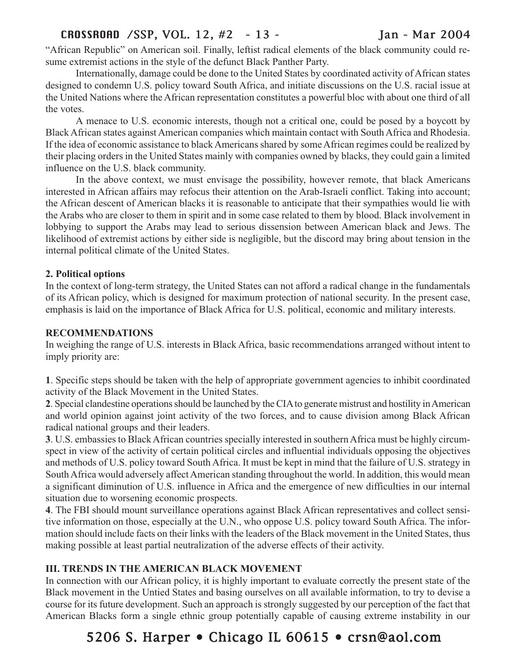### CROSSROAD /SSP, VOL. 12, #2 - 13 - Jan - Mar 2004

"African Republic" on American soil. Finally, leftist radical elements of the black community could resume extremist actions in the style of the defunct Black Panther Party.

Internationally, damage could be done to the United States by coordinated activity of African states designed to condemn U.S. policy toward South Africa, and initiate discussions on the U.S. racial issue at the United Nations where the African representation constitutes a powerful bloc with about one third of all the votes.

A menace to U.S. economic interests, though not a critical one, could be posed by a boycott by Black African states against American companies which maintain contact with South Africa and Rhodesia. If the idea of economic assistance to black Americans shared by some African regimes could be realized by their placing orders in the United States mainly with companies owned by blacks, they could gain a limited influence on the U.S. black community.

In the above context, we must envisage the possibility, however remote, that black Americans interested in African affairs may refocus their attention on the Arab-Israeli conflict. Taking into account; the African descent of American blacks it is reasonable to anticipate that their sympathies would lie with the Arabs who are closer to them in spirit and in some case related to them by blood. Black involvement in lobbying to support the Arabs may lead to serious dissension between American black and Jews. The likelihood of extremist actions by either side is negligible, but the discord may bring about tension in the internal political climate of the United States.

#### **2. Political options**

In the context of long-term strategy, the United States can not afford a radical change in the fundamentals of its African policy, which is designed for maximum protection of national security. In the present case, emphasis is laid on the importance of Black Africa for U.S. political, economic and military interests.

#### **RECOMMENDATIONS**

In weighing the range of U.S. interests in Black Africa, basic recommendations arranged without intent to imply priority are:

**1**. Specific steps should be taken with the help of appropriate government agencies to inhibit coordinated activity of the Black Movement in the United States.

**2**. Special clandestine operations should be launched by the CIA to generate mistrust and hostility in American and world opinion against joint activity of the two forces, and to cause division among Black African radical national groups and their leaders.

**3**. U.S. embassies to Black African countries specially interested in southern Africa must be highly circumspect in view of the activity of certain political circles and influential individuals opposing the objectives and methods of U.S. policy toward South Africa. It must be kept in mind that the failure of U.S. strategy in South Africa would adversely affect American standing throughout the world. In addition, this would mean a significant diminution of U.S. influence in Africa and the emergence of new difficulties in our internal situation due to worsening economic prospects.

**4**. The FBI should mount surveillance operations against Black African representatives and collect sensitive information on those, especially at the U.N., who oppose U.S. policy toward South Africa. The information should include facts on their links with the leaders of the Black movement in the United States, thus making possible at least partial neutralization of the adverse effects of their activity.

#### **III. TRENDS IN THE AMERICAN BLACK MOVEMENT**

In connection with our African policy, it is highly important to evaluate correctly the present state of the Black movement in the Untied States and basing ourselves on all available information, to try to devise a course for its future development. Such an approach is strongly suggested by our perception of the fact that American Blacks form a single ethnic group potentially capable of causing extreme instability in our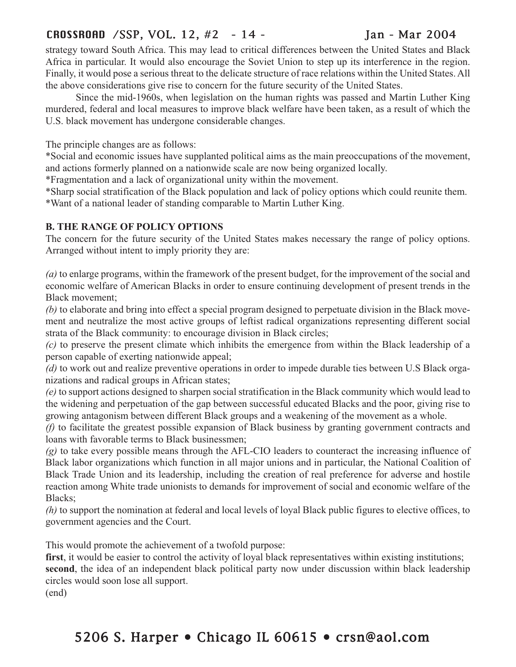### CROSSROAD /SSP, VOL. 12, #2 - 14 - Jan - Mar 2004

strategy toward South Africa. This may lead to critical differences between the United States and Black Africa in particular. It would also encourage the Soviet Union to step up its interference in the region. Finally, it would pose a serious threat to the delicate structure of race relations within the United States. All the above considerations give rise to concern for the future security of the United States.

Since the mid-1960s, when legislation on the human rights was passed and Martin Luther King murdered, federal and local measures to improve black welfare have been taken, as a result of which the U.S. black movement has undergone considerable changes.

The principle changes are as follows:

\*Social and economic issues have supplanted political aims as the main preoccupations of the movement, and actions formerly planned on a nationwide scale are now being organized locally.

\*Fragmentation and a lack of organizational unity within the movement.

\*Sharp social stratification of the Black population and lack of policy options which could reunite them. \*Want of a national leader of standing comparable to Martin Luther King.

#### **B. THE RANGE OF POLICY OPTIONS**

The concern for the future security of the United States makes necessary the range of policy options. Arranged without intent to imply priority they are:

*(a)* to enlarge programs, within the framework of the present budget, for the improvement of the social and economic welfare of American Blacks in order to ensure continuing development of present trends in the Black movement;

*(b)* to elaborate and bring into effect a special program designed to perpetuate division in the Black movement and neutralize the most active groups of leftist radical organizations representing different social strata of the Black community: to encourage division in Black circles;

*(c)* to preserve the present climate which inhibits the emergence from within the Black leadership of a person capable of exerting nationwide appeal;

*(d)* to work out and realize preventive operations in order to impede durable ties between U.S Black organizations and radical groups in African states;

*(e)* to support actions designed to sharpen social stratification in the Black community which would lead to the widening and perpetuation of the gap between successful educated Blacks and the poor, giving rise to growing antagonism between different Black groups and a weakening of the movement as a whole.

*(f)* to facilitate the greatest possible expansion of Black business by granting government contracts and loans with favorable terms to Black businessmen;

*(g)* to take every possible means through the AFL-CIO leaders to counteract the increasing influence of Black labor organizations which function in all major unions and in particular, the National Coalition of Black Trade Union and its leadership, including the creation of real preference for adverse and hostile reaction among White trade unionists to demands for improvement of social and economic welfare of the Blacks;

*(h)* to support the nomination at federal and local levels of loyal Black public figures to elective offices, to government agencies and the Court.

This would promote the achievement of a twofold purpose:

**first**, it would be easier to control the activity of loyal black representatives within existing institutions; **second**, the idea of an independent black political party now under discussion within black leadership circles would soon lose all support.

(end)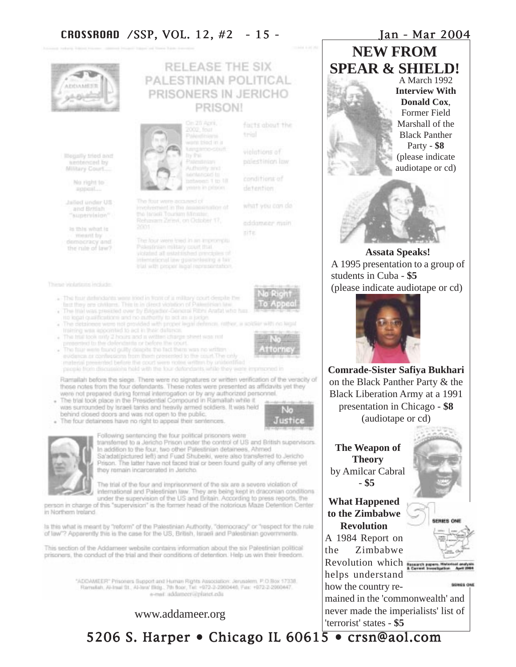

lifegally tried and anotheced by Milliary Court

> No right to appoint ....

Jailled under US and British "supervision"

is this what is meant by democracy and the rule of law? **PRISON!** 

The four were acquired of involvement in the assessmation of the Israeli Tourism Minister Rehmann Zeitel, on October 17.

The four were tred in an impromptly

violated all established principles of international law guaranteeing a tax trial with proper legal representation.

Paksfinian military court that.



155141

- The finit dirlindents were sted in front of a military court despite the taut they are children. This is in direct violation of Palestinian law
- The Irial was presided over by Brigadatr-General Ribhi Arafat who has no legal qualifications and no authority to ect as a judge
- The detaineers were not provided with proper legal definion, nather, a wolder with no legal training was appointed to act in their datance.
- . The trial look only 2 hours and a written charge sheet was not
- presented to the defendants or before the court.<br>The filter were found guilty deep to be fact there was no written evidence at confessions from their presented to the court. The only material premerted before the court were notes written by unidentified people from discussions held with the four defendants while they were impresented in

Ramallah before the siege. There were no signatures or written verification of the veracity of these notes from the four defendants. These notes were presented as affidavits yet they were not prepared during formal interrogation or by any authorized personnel.

- . The trial took place in the Presidential Compound in Ramallah while it was surrounded by Israeli tanks and heavily armed soldiers. It was held behind closed doors and was not open to the public.
- . The four detainees have no right to appeal their sentences.





Following sentencing the four political prisoners were transferred to a Jericho Prison under the control of US and British supervisors. In addition to the four, two other Palestinian detainees. Ahmed Sa'adat(pictured left) and Fuad Shubeiki, were also transferred to Jericho Prison. The latter have not faced trial or been found guilty of any offense yet they remain incarcerated in Jericho.

The trial of the four and imprisonment of the six are a severe violation of international and Palestinian law. They are being kept in draconian conditions under the supervision of the US and Britain. According to press reports, the person in charge of this "supervision" is the former head of the notorious Maze Detention Center

in Northern Ireland.

Is this what is meant by "reform" of the Palestinian Authority, "democracy" or "respect for the rule of law"? Apparently this is the case for the US, British, Israeli and Palestinian governments.

This section of the Addameer website contains information about the six Palestinian political prisoners, the conduct of the trial and their conditions of detention. Help us win their freedom.

> "ADDAMEER" Prisoners Support and Human Rights Association: Jerusalem, P.O.Box 17338.<br>Ramsfah, Al-Inse St., Al-Iera! Bidg., 7th Boor, Tel: +972-3-2080446, Fax: +972-2-2060447. a-mail: addamecruiplatet.edu

#### www.addameer.org

**NEW FROM SPEAR & SHIELD!**

A March 1992 **Interview With Donald Cox**, Former Field Marshall of the Black Panther Party - **\$8** (please indicate audiotape or cd)



**Assata Speaks!** A 1995 presentation to a group of students in Cuba - **\$5** (please indicate audiotape or cd)



**Comrade-Sister Safiya Bukhari** on the Black Panther Party & the Black Liberation Army at a 1991 presentation in Chicago - **\$8** (audiotape or cd)

**The Weapon of Theory** by Amilcar Cabral - **\$5**

**What Happened to the Zimbabwe Revolution** A 1984 Report on

the Zimbabwe Revolution which **Repair** 

helps understand how the country re-

mained in the 'commonwealth' and never made the imperialists' list of 'terrorist' states - **\$5**





5206 S. Harper • Chicago IL 60615 • crsn@aol.com



violations of polestinion low

trial

RELEASE THE SIX PALESTINIAN POLITICAL PRISONERS IN JERICHO

> conditions of detention

facts about the

what you can do

eddameer main' site